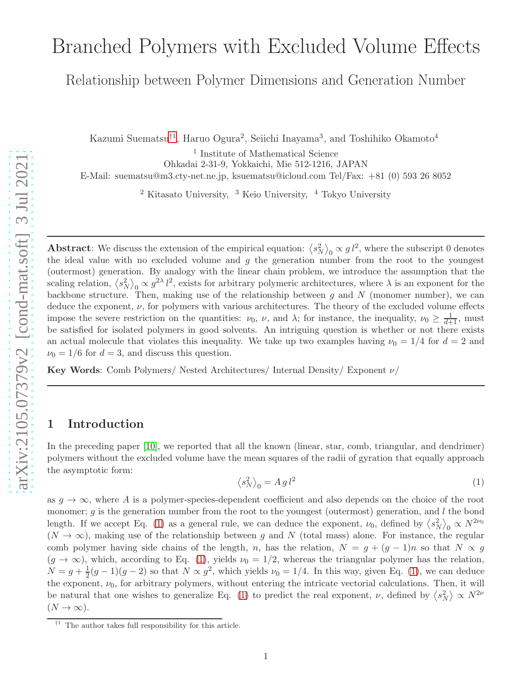# Branched Polymers with Excluded Volume Effects

Relationship between Polymer Dimensions and Generation Number

Kazumi Suematsu<sup>†[1](#page-0-0)</sup>, Haruo Ogura<sup>2</sup>, Seiichi Inayama<sup>3</sup>, and Toshihiko Okamoto<sup>4</sup>

1 Institute of Mathematical Science

Ohkadai 2-31-9, Yokkaichi, Mie 512-1216, JAPAN

E-Mail: suematsu@m3.cty-net.ne.jp, ksuematsu@icloud.com Tel/Fax: +81 (0) 593 26 8052

 $2$  Kitasato University,  $3$  Keio University,  $4$  Tokyo University

Abstract: We discuss the extension of the empirical equation:  $\langle s_N^2 \rangle_0 \propto g l^2$ , where the subscript 0 denotes the ideal value with no excluded volume and  $g$  the generation number from the root to the youngest (outermost) generation. By analogy with the linear chain problem, we introduce the assumption that the scaling relation,  $\langle s_N^2 \rangle_0 \propto g^{2\lambda} l^2$ , exists for arbitrary polymeric architectures, where  $\lambda$  is an exponent for the backbone structure. Then, making use of the relationship between  $g$  and  $N$  (monomer number), we can deduce the exponent,  $\nu$ , for polymers with various architectures. The theory of the excluded volume effects impose the severe restriction on the quantities:  $\nu_0$ ,  $\nu$ , and  $\lambda$ ; for instance, the inequality,  $\nu_0 \geq \frac{1}{d+1}$ , must be satisfied for isolated polymers in good solvents. An intriguing question is whether or not there exists an actual molecule that violates this inequality. We take up two examples having  $\nu_0 = 1/4$  for  $d = 2$  and  $\nu_0 = 1/6$  for  $d = 3$ , and discuss this question.

Key Words: Comb Polymers/ Nested Architectures/ Internal Density/ Exponent ν/

### 1 Introduction

In the preceding paper [\[10\]](#page-10-0), we reported that all the known (linear, star, comb, triangular, and dendrimer) polymers without the excluded volume have the mean squares of the radii of gyration that equally approach the asymptotic form:

<span id="page-0-1"></span>
$$
\left\langle s_N^2 \right\rangle_0 = A g l^2 \tag{1}
$$

as  $g \to \infty$ , where A is a polymer-species-dependent coefficient and also depends on the choice of the root monomer; q is the generation number from the root to the youngest (outermost) generation, and l the bond length. If we accept Eq. [\(1\)](#page-0-1) as a general rule, we can deduce the exponent,  $\nu_0$ , defined by  $\langle s_N^2 \rangle_0 \propto N^{2\nu_0}$  $(N \to \infty)$ , making use of the relationship between g and N (total mass) alone. For instance, the regular comb polymer having side chains of the length, n, has the relation,  $N = g + (g - 1)n$  so that  $N \propto g$  $(g \to \infty)$ , which, according to Eq. [\(1\)](#page-0-1), yields  $\nu_0 = 1/2$ , whereas the triangular polymer has the relation,  $N = g + \frac{1}{2}$  $\frac{1}{2}(g-1)(g-2)$  so that  $N \propto g^2$ , which yields  $\nu_0 = 1/4$ . In this way, given Eq. [\(1\)](#page-0-1), we can deduce the exponent,  $\nu_0$ , for arbitrary polymers, without entering the intricate vectorial calculations. Then, it will be natural that one wishes to generalize Eq. [\(1\)](#page-0-1) to predict the real exponent,  $\nu$ , defined by  $\langle s_N^2 \rangle \propto N^{2\nu}$  $(N \to \infty).$ 

<span id="page-0-0"></span> $\uparrow$ <sup>1</sup> The author takes full responsibility for this article.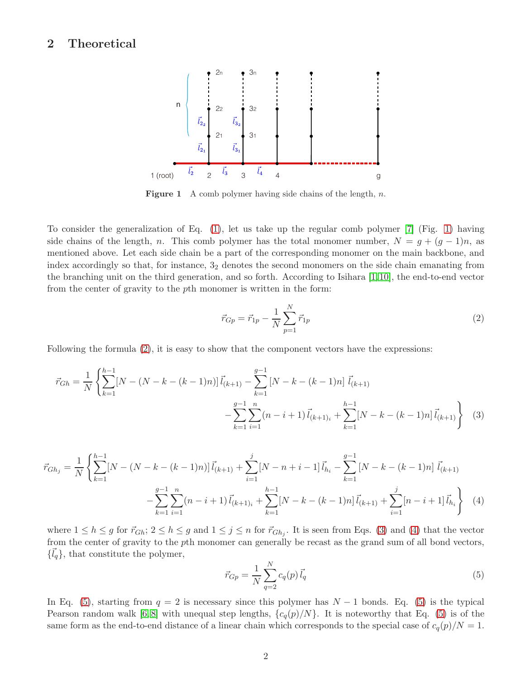### <span id="page-1-5"></span><span id="page-1-0"></span>2 Theoretical



**Figure 1** A comb polymer having side chains of the length, n.

To consider the generalization of Eq. [\(1\)](#page-0-1), let us take up the regular comb polymer [\[7\]](#page-10-1) (Fig. [1\)](#page-1-0) having side chains of the length, n. This comb polymer has the total monomer number,  $N = g + (g - 1)n$ , as mentioned above. Let each side chain be a part of the corresponding monomer on the main backbone, and index accordingly so that, for instance, 3<sup>2</sup> denotes the second monomers on the side chain emanating from the branching unit on the third generation, and so forth. According to Isihara [\[1,](#page-10-2) [10\]](#page-10-0), the end-to-end vector from the center of gravity to the pth monomer is written in the form:

<span id="page-1-2"></span><span id="page-1-1"></span>
$$
\vec{r}_{Gp} = \vec{r}_{1p} - \frac{1}{N} \sum_{p=1}^{N} \vec{r}_{1p}
$$
\n(2)

Following the formula  $(2)$ , it is easy to show that the component vectors have the expressions:

$$
\vec{r}_{Gh} = \frac{1}{N} \left\{ \sum_{k=1}^{h-1} [N - (N - k - (k-1)n)] \vec{l}_{(k+1)} - \sum_{k=1}^{g-1} [N - k - (k-1)n] \vec{l}_{(k+1)} - \sum_{k=1}^{g-1} \sum_{i=1}^{n} (n - i + 1) \vec{l}_{(k+1)i} + \sum_{k=1}^{h-1} [N - k - (k-1)n] \vec{l}_{(k+1)} \right\} \tag{3}
$$

$$
\vec{r}_{Gh_j} = \frac{1}{N} \left\{ \sum_{k=1}^{h-1} [N - (N - k - (k-1)n)] \vec{l}_{(k+1)} + \sum_{i=1}^{j} [N - n + i - 1] \vec{l}_{h_i} - \sum_{k=1}^{g-1} [N - k - (k-1)n] \vec{l}_{(k+1)} - \sum_{k=1}^{g-1} \sum_{i=1}^{n} (n - i + 1) \vec{l}_{(k+1)i} + \sum_{k=1}^{h-1} [N - k - (k-1)n] \vec{l}_{(k+1)} + \sum_{i=1}^{j} [n - i + 1] \vec{l}_{h_i} \right\} \tag{4}
$$

where  $1 \le h \le g$  for  $\vec{r}_{Gh}$ ;  $2 \le h \le g$  and  $1 \le j \le n$  for  $\vec{r}_{Gh_j}$ . It is seen from Eqs. [\(3\)](#page-1-2) and [\(4\)](#page-1-3) that the vector from the center of gravity to the pth monomer can generally be recast as the grand sum of all bond vectors,  $\{\vec{l}_q\}$ , that constitute the polymer,

<span id="page-1-4"></span><span id="page-1-3"></span>
$$
\vec{r}_{Gp} = \frac{1}{N} \sum_{q=2}^{N} c_q(p) \vec{l}_q
$$
\n(5)

In Eq. [\(5\)](#page-1-4), starting from  $q = 2$  is necessary since this polymer has  $N - 1$  bonds. Eq. (5) is the typical Pearson random walk [\[6,](#page-10-3)8] with unequal step lengths,  $\{c_q(p)/N\}$ . It is noteworthy that Eq. [\(5\)](#page-1-4) is of the same form as the end-to-end distance of a linear chain which corresponds to the special case of  $c_q(p)/N = 1$ .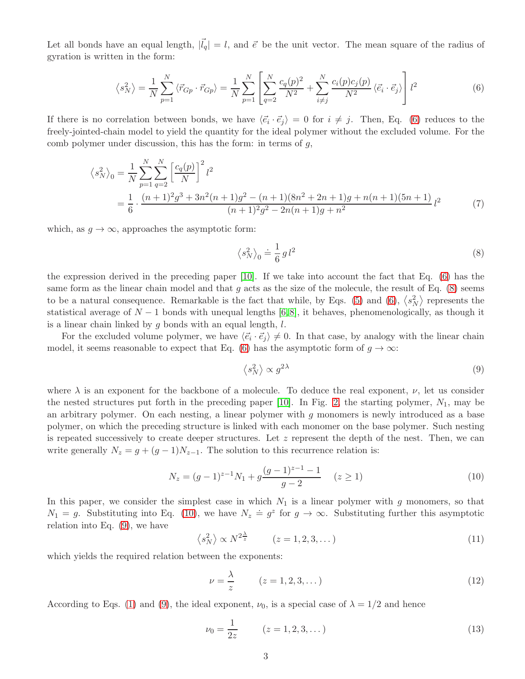Let all bonds have an equal length,  $|\vec{l}_q| = l$ , and  $\vec{e}$  be the unit vector. The mean square of the radius of gyration is written in the form:

<span id="page-2-0"></span>
$$
\langle s_N^2 \rangle = \frac{1}{N} \sum_{p=1}^N \langle \vec{r}_{Gp} \cdot \vec{r}_{Gp} \rangle = \frac{1}{N} \sum_{p=1}^N \left[ \sum_{q=2}^N \frac{c_q(p)^2}{N^2} + \sum_{i \neq j}^N \frac{c_i(p)c_j(p)}{N^2} \langle \vec{e}_i \cdot \vec{e}_j \rangle \right] l^2 \tag{6}
$$

If there is no correlation between bonds, we have  $\langle \vec{e}_i \cdot \vec{e}_j \rangle = 0$  for  $i \neq j$ . Then, Eq. [\(6\)](#page-2-0) reduces to the freely-jointed-chain model to yield the quantity for the ideal polymer without the excluded volume. For the comb polymer under discussion, this has the form: in terms of  $g$ ,

$$
\langle s_N^2 \rangle_0 = \frac{1}{N} \sum_{p=1}^N \sum_{q=2}^N \left[ \frac{c_q(p)}{N} \right]^2 l^2
$$
  
= 
$$
\frac{1}{6} \cdot \frac{(n+1)^2 g^3 + 3n^2(n+1)g^2 - (n+1)(8n^2 + 2n + 1)g + n(n+1)(5n+1)}{(n+1)^2 g^2 - 2n(n+1)g + n^2} l^2
$$
(7)

which, as  $g \to \infty$ , approaches the asymptotic form:

<span id="page-2-1"></span>
$$
\left\langle s_N^2 \right\rangle_0 \doteq \frac{1}{6} \, g \, l^2 \tag{8}
$$

the expression derived in the preceding paper [\[10\]](#page-10-0). If we take into account the fact that Eq. [\(6\)](#page-2-0) has the same form as the linear chain model and that  $q$  acts as the size of the molecule, the result of Eq. [\(8\)](#page-2-1) seems to be a natural consequence. Remarkable is the fact that while, by Eqs. [\(5\)](#page-1-4) and [\(6\)](#page-2-0),  $\langle s_N^2 \rangle$  represents the statistical average of  $N-1$  bonds with unequal lengths [\[6,](#page-10-3)8], it behaves, phenomenologically, as though it is a linear chain linked by  $q$  bonds with an equal length,  $l$ .

For the excluded volume polymer, we have  $\langle \vec{e}_i \cdot \vec{e}_j \rangle \neq 0$ . In that case, by analogy with the linear chain model, it seems reasonable to expect that Eq. [\(6\)](#page-2-0) has the asymptotic form of  $g \to \infty$ :

<span id="page-2-3"></span>
$$
\langle s_N^2 \rangle \propto g^{2\lambda} \tag{9}
$$

where  $\lambda$  is an exponent for the backbone of a molecule. To deduce the real exponent,  $\nu$ , let us consider the nested structures put forth in the preceding paper  $[10]$ . In Fig. [2,](#page-3-0) the starting polymer,  $N_1$ , may be an arbitrary polymer. On each nesting, a linear polymer with  $g$  monomers is newly introduced as a base polymer, on which the preceding structure is linked with each monomer on the base polymer. Such nesting is repeated successively to create deeper structures. Let  $z$  represent the depth of the nest. Then, we can write generally  $N_z = g + (g - 1)N_{z-1}$ . The solution to this recurrence relation is:

<span id="page-2-2"></span>
$$
N_z = (g-1)^{z-1}N_1 + g\frac{(g-1)^{z-1}-1}{g-2} \quad (z \ge 1)
$$
\n(10)

In this paper, we consider the simplest case in which  $N_1$  is a linear polymer with g monomers, so that  $N_1 = g$ . Substituting into Eq. [\(10\)](#page-2-2), we have  $N_z \doteq g^z$  for  $g \to \infty$ . Substituting further this asymptotic relation into Eq. [\(9\)](#page-2-3), we have

$$
\langle s_N^2 \rangle \propto N^{2\frac{\lambda}{z}} \qquad (z = 1, 2, 3, \dots) \tag{11}
$$

which yields the required relation between the exponents:

<span id="page-2-4"></span>
$$
\nu = \frac{\lambda}{z} \qquad (z = 1, 2, 3, \dots) \tag{12}
$$

According to Eqs. [\(1\)](#page-0-1) and [\(9\)](#page-2-3), the ideal exponent,  $\nu_0$ , is a special case of  $\lambda = 1/2$  and hence

<span id="page-2-5"></span>
$$
\nu_0 = \frac{1}{2z} \qquad (z = 1, 2, 3, \dots) \tag{13}
$$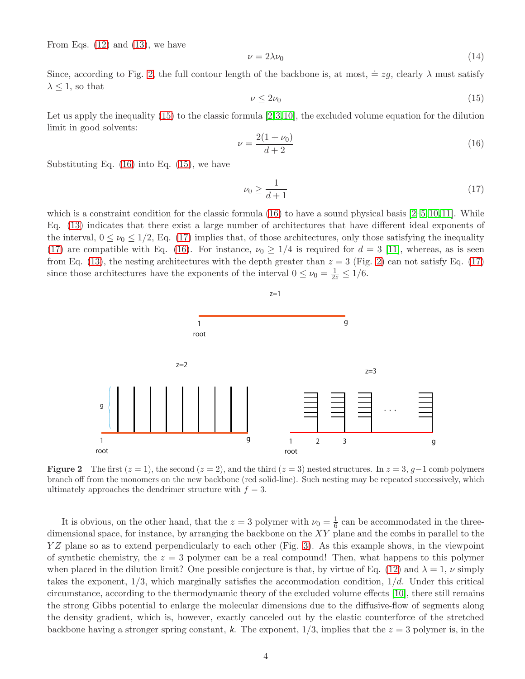From Eqs.  $(12)$  and  $(13)$ , we have

<span id="page-3-4"></span>
$$
\nu = 2\lambda \nu_0 \tag{14}
$$

Since, according to Fig. [2,](#page-3-0) the full contour length of the backbone is, at most,  $\dot{=} zg$ , clearly  $\lambda$  must satisfy  $\lambda \leq 1$ , so that

<span id="page-3-1"></span>
$$
\nu \le 2\nu_0 \tag{15}
$$

Let us apply the inequality  $(15)$  to the classic formula  $[2,3,10]$  $[2,3,10]$  $[2,3,10]$ , the excluded volume equation for the dilution limit in good solvents:

<span id="page-3-2"></span>
$$
\nu = \frac{2(1 + \nu_0)}{d + 2} \tag{16}
$$

Substituting Eq. [\(16\)](#page-3-2) into Eq. [\(15\)](#page-3-1), we have

<span id="page-3-3"></span>
$$
\nu_0 \ge \frac{1}{d+1} \tag{17}
$$

which is a constraint condition for the classic formula  $(16)$  to have a sound physical basis  $[2-5,10,11]$  $[2-5,10,11]$  $[2-5,10,11]$  $[2-5,10,11]$ . While Eq. [\(13\)](#page-2-5) indicates that there exist a large number of architectures that have different ideal exponents of the interval,  $0 \le \nu_0 \le 1/2$ , Eq. [\(17\)](#page-3-3) implies that, of those architectures, only those satisfying the inequality [\(17\)](#page-3-3) are compatible with Eq. [\(16\)](#page-3-2). For instance,  $\nu_0 \geq 1/4$  is required for  $d = 3$  [\[11\]](#page-11-0), whereas, as is seen from Eq. [\(13\)](#page-2-5), the nesting architectures with the depth greater than  $z = 3$  (Fig. [2\)](#page-3-0) can not satisfy Eq. [\(17\)](#page-3-3) since those architectures have the exponents of the interval  $0 \le \nu_0 = \frac{1}{2z} \le 1/6$ .

<span id="page-3-0"></span>

**Figure 2** The first  $(z = 1)$ , the second  $(z = 2)$ , and the third  $(z = 3)$  nested structures. In  $z = 3$ ,  $g-1$  comb polymers branch off from the monomers on the new backbone (red solid-line). Such nesting may be repeated successively, which ultimately approaches the dendrimer structure with  $f = 3$ .

It is obvious, on the other hand, that the  $z = 3$  polymer with  $\nu_0 = \frac{1}{6}$  $\frac{1}{6}$  can be accommodated in the threedimensional space, for instance, by arranging the backbone on the  $XY$  plane and the combs in parallel to the YZ plane so as to extend perpendicularly to each other (Fig. [3\)](#page-4-0). As this example shows, in the viewpoint of synthetic chemistry, the  $z = 3$  polymer can be a real compound! Then, what happens to this polymer when placed in the dilution limit? One possible conjecture is that, by virtue of Eq. [\(12\)](#page-2-4) and  $\lambda = 1$ ,  $\nu$  simply takes the exponent,  $1/3$ , which marginally satisfies the accommodation condition,  $1/d$ . Under this critical circumstance, according to the thermodynamic theory of the excluded volume effects [\[10\]](#page-10-0), there still remains the strong Gibbs potential to enlarge the molecular dimensions due to the diffusive-flow of segments along the density gradient, which is, however, exactly canceled out by the elastic counterforce of the stretched backbone having a stronger spring constant, k. The exponent,  $1/3$ , implies that the  $z = 3$  polymer is, in the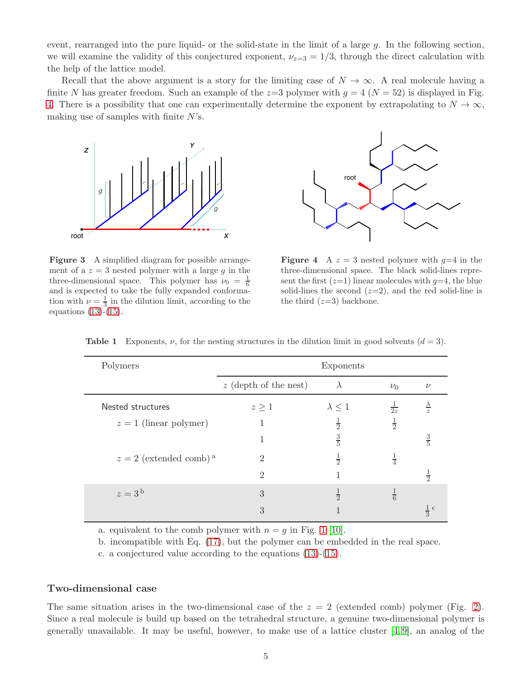event, rearranged into the pure liquid- or the solid-state in the limit of a large g. In the following section, we will examine the validity of this conjectured exponent,  $\nu_{z=3} = 1/3$ , through the direct calculation with the help of the lattice model.

Recall that the above argument is a story for the limiting case of  $N \to \infty$ . A real molecule having a finite N has greater freedom. Such an example of the  $z=3$  polymer with  $g = 4$  ( $N = 52$ ) is displayed in Fig. [4.](#page-4-0) There is a possibility that one can experimentally determine the exponent by extrapolating to  $N \to \infty$ , making use of samples with finite  $N$ 's.

<span id="page-4-0"></span>

Figure 3 A simplified diagram for possible arrangement of a  $z = 3$  nested polymer with a large g in the three-dimensional space. This polymer has  $\nu_0 = \frac{1}{6}$ and is expected to take the fully expanded conformation with  $\nu = \frac{1}{3}$  in the dilution limit, according to the equations  $(13)-(15)$  $(13)-(15)$ .



**Figure 4** A  $z = 3$  nested polymer with  $q=4$  in the three-dimensional space. The black solid-lines represent the first  $(z=1)$  linear molecules with  $y=4$ , the blue solid-lines the second  $(z=2)$ , and the red solid-line is the third  $(z=3)$  backbone.

| Polymers                             | Exponents                   |                  |               |               |
|--------------------------------------|-----------------------------|------------------|---------------|---------------|
|                                      | $z$ (depth of the nest)     | $\lambda$        | $\nu_0$       | $\nu$         |
| Nested structures                    | $z \geq 1$                  | $\lambda \leq 1$ | $rac{1}{2z}$  |               |
| $z=1$ (linear polymer)               | 1                           | $\frac{1}{2}$    | $\frac{1}{2}$ |               |
|                                      |                             | $\frac{3}{5}$    |               | $\frac{3}{5}$ |
| $z = 2$ (extended comb) <sup>a</sup> | $\overline{2}$              | $\frac{1}{2}$    | $\frac{1}{4}$ |               |
|                                      | $\mathcal{D}_{\mathcal{L}}$ | 1                |               | $\frac{1}{2}$ |
| $z=3b$                               | 3                           | $\frac{1}{2}$    | $\frac{1}{6}$ |               |
|                                      | 3                           |                  |               | $rac{1}{3}$ c |

<span id="page-4-1"></span>**Table 1** Exponents,  $\nu$ , for the nesting structures in the dilution limit in good solvents  $(d = 3)$ .

a. equivalent to the comb polymer with  $n = q$  in Fig. [1](#page-1-0) [\[10\]](#page-10-0).

b. incompatible with Eq. [\(17\)](#page-3-3), but the polymer can be embedded in the real space.

c. a conjectured value according to the equations [\(13\)](#page-2-5)-[\(15\)](#page-3-1).

#### Two-dimensional case

The same situation arises in the two-dimensional case of the  $z = 2$  (extended comb) polymer (Fig. [2\)](#page-3-0). Since a real molecule is build up based on the tetrahedral structure, a genuine two-dimensional polymer is generally unavailable. It may be useful, however, to make use of a lattice cluster  $[4, 9]$  $[4, 9]$ , an analog of the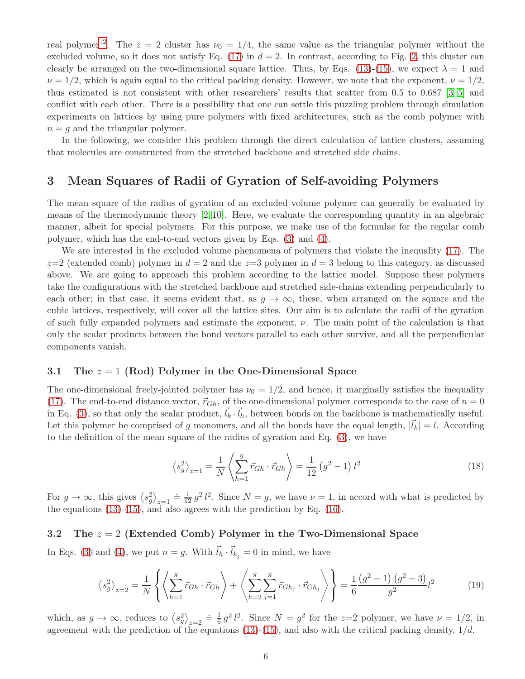real polymer<sup>†[2](#page-7-0)</sup>. The  $z = 2$  cluster has  $\nu_0 = 1/4$ , the same value as the triangular polymer without the excluded volume, so it does not satisfy Eq.  $(17)$  in  $d = 2$ . In contrast, according to Fig. [2,](#page-3-0) this cluster can clearly be arranged on the two-dimensional square lattice. Thus, by Eqs. [\(13\)](#page-2-5)-[\(15\)](#page-3-1), we expect  $\lambda = 1$  and  $\nu = 1/2$ , which is again equal to the critical packing density. However, we note that the exponent,  $\nu = 1/2$ , thus estimated is not consistent with other researchers' results that scatter from 0.5 to 0.687 [\[3–](#page-10-6)[5\]](#page-10-7) and conflict with each other. There is a possibility that one can settle this puzzling problem through simulation experiments on lattices by using pure polymers with fixed architectures, such as the comb polymer with  $n = q$  and the triangular polymer.

In the following, we consider this problem through the direct calculation of lattice clusters, assuming that molecules are constructed from the stretched backbone and stretched side chains.

### 3 Mean Squares of Radii of Gyration of Self-avoiding Polymers

The mean square of the radius of gyration of an excluded volume polymer can generally be evaluated by means of the thermodynamic theory [\[2,](#page-10-5) [10\]](#page-10-0). Here, we evaluate the corresponding quantity in an algebraic manner, albeit for special polymers. For this purpose, we make use of the formulae for the regular comb polymer, which has the end-to-end vectors given by Eqs. [\(3\)](#page-1-2) and [\(4\)](#page-1-3).

We are interested in the excluded volume phenomena of polymers that violate the inequality [\(17\)](#page-3-3). The  $z=2$  (extended comb) polymer in  $d=2$  and the  $z=3$  polymer in  $d=3$  belong to this category, as discussed above. We are going to approach this problem according to the lattice model. Suppose these polymers take the configurations with the stretched backbone and stretched side-chains extending perpendicularly to each other; in that case, it seems evident that, as  $q \to \infty$ , these, when arranged on the square and the cubic lattices, respectively, will cover all the lattice sites. Our aim is to calculate the radii of the gyration of such fully expanded polymers and estimate the exponent,  $\nu$ . The main point of the calculation is that only the scalar products between the bond vectors parallel to each other survive, and all the perpendicular components vanish.

#### 3.1 The  $z = 1$  (Rod) Polymer in the One-Dimensional Space

The one-dimensional freely-jointed polymer has  $\nu_0 = 1/2$ , and hence, it marginally satisfies the inequality [\(17\)](#page-3-3). The end-to-end distance vector,  $\vec{r}_{Gh}$ , of the one-dimensional polymer corresponds to the case of  $n = 0$ in Eq. [\(3\)](#page-1-2), so that only the scalar product,  $\vec{l}_k \cdot \vec{l}_h$ , between bonds on the backbone is mathematically useful. Let this polymer be comprised of g monomers, and all the bonds have the equal length,  $|\vec{l}_k| = l$ . According to the definition of the mean square of the radius of gyration and Eq. [\(3\)](#page-1-2), we have

<span id="page-5-1"></span>
$$
\left\langle s_g^2 \right\rangle_{z=1} = \frac{1}{N} \left\langle \sum_{h=1}^g \vec{r}_{Gh} \cdot \vec{r}_{Gh} \right\rangle = \frac{1}{12} \left( g^2 - 1 \right) l^2 \tag{18}
$$

For  $g \to \infty$ , this gives  $\langle s_g^2 \rangle_{z=1} = \frac{1}{12} g^2 l^2$ . Since  $N = g$ , we have  $\nu = 1$ , in accord with what is predicted by the equations  $(13)-(15)$  $(13)-(15)$ , and also agrees with the prediction by Eq.  $(16)$ .

#### 3.2 The  $z = 2$  (Extended Comb) Polymer in the Two-Dimensional Space

In Eqs. [\(3\)](#page-1-2) and [\(4\)](#page-1-3), we put  $n = g$ . With  $\vec{l}_h \cdot \vec{l}_{k_j} = 0$  in mind, we have

<span id="page-5-0"></span>
$$
\left\langle s_g^2 \right\rangle_{z=2} = \frac{1}{N} \left\{ \left\langle \sum_{h=1}^g \vec{r}_{Gh} \cdot \vec{r}_{Gh} \right\rangle + \left\langle \sum_{h=2}^g \sum_{j=1}^g \vec{r}_{Gh_j} \cdot \vec{r}_{Gh_j} \right\rangle \right\} = \frac{1}{6} \frac{\left(g^2 - 1\right) \left(g^2 + 3\right)}{g^2} l^2 \tag{19}
$$

which, as  $g \to \infty$ , reduces to  $\langle s_g^2 \rangle_{z=2} = \frac{1}{6} g^2 l^2$ . Since  $N = g^2$  for the  $z=2$  polymer, we have  $\nu = 1/2$ , in agreement with the prediction of the equations [\(13\)](#page-2-5)-[\(15\)](#page-3-1), and also with the critical packing density,  $1/d$ .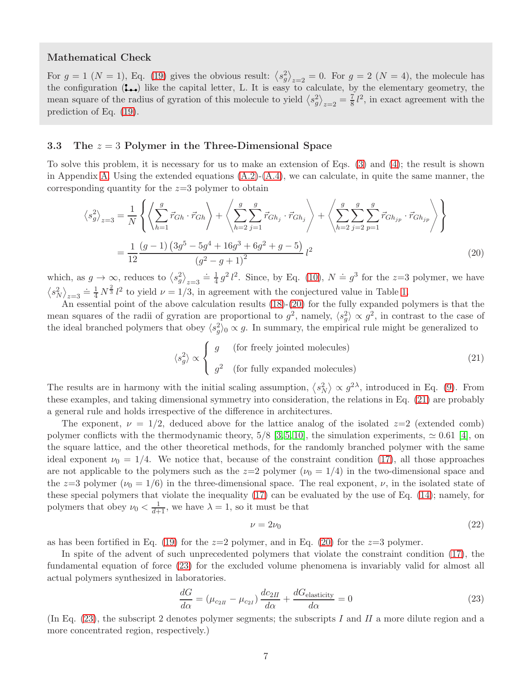#### Mathematical Check

For  $g = 1$   $(N = 1)$ , Eq. [\(19\)](#page-5-0) gives the obvious result:  $\langle s_g^2 \rangle_{z=2} = 0$ . For  $g = 2$   $(N = 4)$ , the molecule has the configuration  $($ ...) like the capital letter, L. It is easy to calculate, by the elementary geometry, the mean square of the radius of gyration of this molecule to yield  $\langle s_g^2 \rangle_{z=2} = \frac{7}{8}l^2$ , in exact agreement with the prediction of Eq. [\(19\)](#page-5-0).

#### 3.3 The  $z = 3$  Polymer in the Three-Dimensional Space

To solve this problem, it is necessary for us to make an extension of Eqs. [\(3\)](#page-1-2) and [\(4\)](#page-1-3); the result is shown in Appendix [A.](#page-7-1) Using the extended equations  $(A.2)-(A.4)$  $(A.2)-(A.4)$ , we can calculate, in quite the same manner, the corresponding quantity for the  $z=3$  polymer to obtain

$$
\left\langle s_g^2 \right\rangle_{z=3} = \frac{1}{N} \left\{ \left\langle \sum_{h=1}^g \vec{r}_{Gh} \cdot \vec{r}_{Gh} \right\rangle + \left\langle \sum_{h=2}^g \sum_{j=1}^g \vec{r}_{Gh_j} \cdot \vec{r}_{Gh_j} \right\rangle + \left\langle \sum_{h=2}^g \sum_{j=2}^g \sum_{p=1}^g \vec{r}_{Gh_{jp}} \cdot \vec{r}_{Gh_{jp}} \right\rangle \right\}
$$
  
= 
$$
\frac{1}{12} \frac{(g-1)\left(3g^5 - 5g^4 + 16g^3 + 6g^2 + g - 5\right)}{(g^2 - g + 1)^2} l^2
$$
(20)

which, as  $g \to \infty$ , reduces to  $\langle s_g^2 \rangle_{z=3} \doteq \frac{1}{4}$  $\frac{1}{4} g^2 l^2$ . Since, by Eq. [\(10\)](#page-2-2),  $N \doteq g^3$  for the z=3 polymer, we have  $\langle s_N^2 \rangle_{z=3} \doteq \frac{1}{4} N^{\frac{2}{3}} l^2$  to yield  $\nu = 1/3$ , in agreement with the conjectured value in Table [1.](#page-4-1)

An essential point of the above calculation results [\(18\)](#page-5-1)-[\(20\)](#page-6-0) for the fully expanded polymers is that the mean squares of the radii of gyration are proportional to  $g^2$ , namely,  $\langle s_g^2 \rangle \propto g^2$ , in contrast to the case of the ideal branched polymers that obey  $\langle s_g^2 \rangle_0 \propto g$ . In summary, the empirical rule might be generalized to

<span id="page-6-1"></span><span id="page-6-0"></span>
$$
\langle s_g^2 \rangle \propto \begin{cases} g & \text{(for freely jointed molecules)} \\ g^2 & \text{(for fully expanded molecules)} \end{cases} \tag{21}
$$

The results are in harmony with the initial scaling assumption,  $\langle s_N^2 \rangle \propto g^{2\lambda}$ , introduced in Eq. [\(9\)](#page-2-3). From these examples, and taking dimensional symmetry into consideration, the relations in Eq. [\(21\)](#page-6-1) are probably a general rule and holds irrespective of the difference in architectures.

The exponent,  $\nu = 1/2$ , deduced above for the lattice analog of the isolated  $z=2$  (extended comb) polymer conflicts with the thermodynamic theory,  $5/8$  [\[3,](#page-10-6) [5,](#page-10-7) [10\]](#page-10-0), the simulation experiments,  $\simeq 0.61$  [\[4\]](#page-10-8), on the square lattice, and the other theoretical methods, for the randomly branched polymer with the same ideal exponent  $\nu_0 = 1/4$ . We notice that, because of the constraint condition [\(17\)](#page-3-3), all those approaches are not applicable to the polymers such as the  $z=2$  polymer  $(\nu_0 = 1/4)$  in the two-dimensional space and the  $z=3$  polymer  $(\nu_0 = 1/6)$  in the three-dimensional space. The real exponent,  $\nu$ , in the isolated state of these special polymers that violate the inequality [\(17\)](#page-3-3) can be evaluated by the use of Eq. [\(14\)](#page-3-4); namely, for polymers that obey  $\nu_0 < \frac{1}{d+1}$ , we have  $\lambda = 1$ , so it must be that

$$
\nu = 2\nu_0 \tag{22}
$$

as has been fortified in Eq. [\(19\)](#page-5-0) for the  $z=2$  polymer, and in Eq. [\(20\)](#page-6-0) for the  $z=3$  polymer.

In spite of the advent of such unprecedented polymers that violate the constraint condition [\(17\)](#page-3-3), the fundamental equation of force [\(23\)](#page-6-2) for the excluded volume phenomena is invariably valid for almost all actual polymers synthesized in laboratories.

<span id="page-6-2"></span>
$$
\frac{dG}{d\alpha} = (\mu_{c_{2II}} - \mu_{c_{2I}}) \frac{dc_{2II}}{d\alpha} + \frac{dG_{\text{elasticity}}}{d\alpha} = 0
$$
\n(23)

(In Eq.  $(23)$ , the subscript 2 denotes polymer segments; the subscripts I and II a more dilute region and a more concentrated region, respectively.)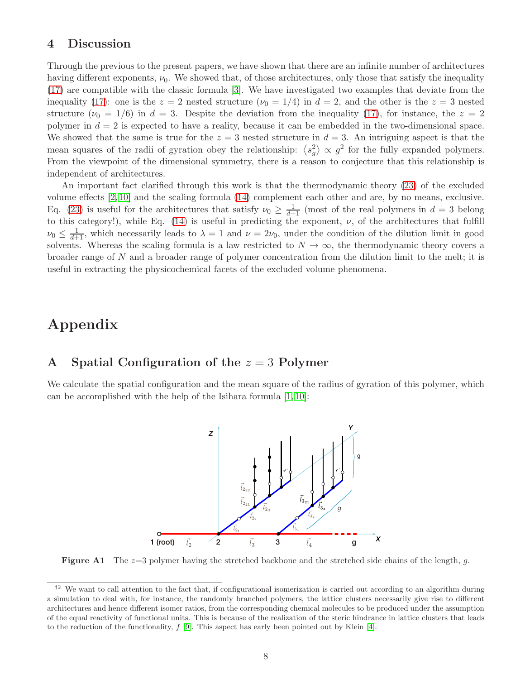### 4 Discussion

Through the previous to the present papers, we have shown that there are an infinite number of architectures having different exponents,  $\nu_0$ . We showed that, of those architectures, only those that satisfy the inequality [\(17\)](#page-3-3) are compatible with the classic formula [\[3\]](#page-10-6). We have investigated two examples that deviate from the inequality [\(17\)](#page-3-3): one is the  $z = 2$  nested structure  $(\nu_0 = 1/4)$  in  $d = 2$ , and the other is the  $z = 3$  nested structure  $(\nu_0 = 1/6)$  in  $d = 3$ . Despite the deviation from the inequality [\(17\)](#page-3-3), for instance, the  $z = 2$ polymer in  $d = 2$  is expected to have a reality, because it can be embedded in the two-dimensional space. We showed that the same is true for the  $z = 3$  nested structure in  $d = 3$ . An intriguing aspect is that the mean squares of the radii of gyration obey the relationship:  $\langle s_g^2 \rangle \propto g^2$  for the fully expanded polymers. From the viewpoint of the dimensional symmetry, there is a reason to conjecture that this relationship is independent of architectures.

An important fact clarified through this work is that the thermodynamic theory [\(23\)](#page-6-2) of the excluded volume effects [\[2,](#page-10-5) [10\]](#page-10-0) and the scaling formula [\(14\)](#page-3-4) complement each other and are, by no means, exclusive. Eq. [\(23\)](#page-6-2) is useful for the architectures that satisfy  $\nu_0 \geq \frac{1}{d+1}$  (most of the real polymers in  $d=3$  belong to this category!), while Eq.  $(14)$  is useful in predicting the exponent,  $\nu$ , of the architectures that fulfill  $\nu_0 \leq \frac{1}{d+1}$ , which necessarily leads to  $\lambda = 1$  and  $\nu = 2\nu_0$ , under the condition of the dilution limit in good solvents. Whereas the scaling formula is a law restricted to  $N \to \infty$ , the thermodynamic theory covers a broader range of N and a broader range of polymer concentration from the dilution limit to the melt; it is useful in extracting the physicochemical facets of the excluded volume phenomena.

## Appendix

### <span id="page-7-1"></span>A Spatial Configuration of the  $z = 3$  Polymer

<span id="page-7-2"></span>We calculate the spatial configuration and the mean square of the radius of gyration of this polymer, which can be accomplished with the help of the Isihara formula [\[1,](#page-10-2) [10\]](#page-10-0):



**Figure A1** The  $z=3$  polymer having the stretched backbone and the stretched side chains of the length, g.

<span id="page-7-0"></span> $^{\dagger2}$  We want to call attention to the fact that, if configurational isomerization is carried out according to an algorithm during a simulation to deal with, for instance, the randomly branched polymers, the lattice clusters necessarily give rise to different architectures and hence different isomer ratios, from the corresponding chemical molecules to be produced under the assumption of the equal reactivity of functional units. This is because of the realization of the steric hindrance in lattice clusters that leads to the reduction of the functionality,  $f$  [\[9\]](#page-10-9). This aspect has early been pointed out by Klein [\[4\]](#page-10-8).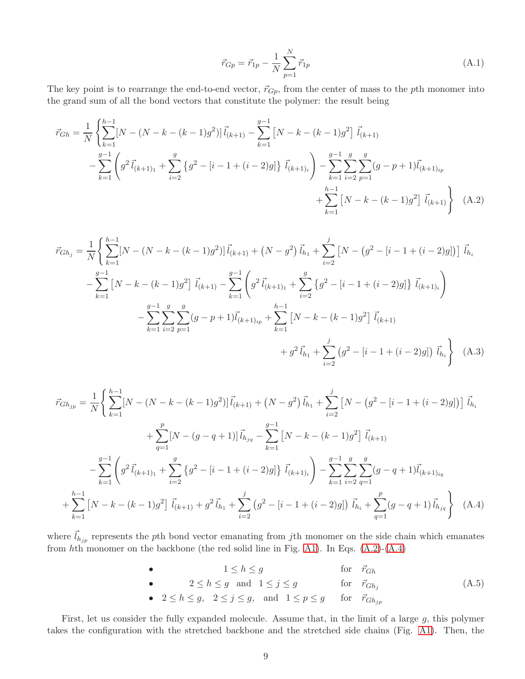<span id="page-8-0"></span>
$$
\vec{r}_{Gp} = \vec{r}_{1p} - \frac{1}{N} \sum_{p=1}^{N} \vec{r}_{1p}
$$
\n(A.1)

The key point is to rearrange the end-to-end vector,  $\vec{r}_{G_p}$ , from the center of mass to the pth monomer into the grand sum of all the bond vectors that constitute the polymer: the result being

$$
\vec{r}_{Gh} = \frac{1}{N} \left\{ \sum_{k=1}^{h-1} [N - (N - k - (k-1)g^2)] \vec{l}_{(k+1)} - \sum_{k=1}^{g-1} [N - k - (k-1)g^2] \vec{l}_{(k+1)} - \sum_{k=1}^{g-1} \left( g^2 \vec{l}_{(k+1)_1} + \sum_{i=2}^{g} \left\{ g^2 - [i - 1 + (i-2)g] \right\} \vec{l}_{(k+1)_i} \right) - \sum_{k=1}^{g-1} \sum_{i=2}^{g} \sum_{p=1}^{g} (g - p + 1) \vec{l}_{(k+1)_{ip}} + \sum_{k=1}^{h-1} [N - k - (k-1)g^2] \vec{l}_{(k+1)} \right\} \quad (A.2)
$$

$$
\vec{r}_{Gh_j} = \frac{1}{N} \left\{ \sum_{k=1}^{h-1} [N - (N - k - (k-1)g^2)] \vec{l}_{(k+1)} + (N - g^2) \vec{l}_{h_1} + \sum_{i=2}^j [N - (g^2 - [i-1 + (i-2)g])] \vec{l}_{h_i} \right\}
$$

$$
- \sum_{k=1}^{g-1} [N - k - (k-1)g^2] \vec{l}_{(k+1)} - \sum_{k=1}^{g-1} \left( g^2 \vec{l}_{(k+1)_1} + \sum_{i=2}^g \{ g^2 - [i-1 + (i-2)g] \} \vec{l}_{(k+1)_i} \right)
$$

$$
- \sum_{k=1}^{g-1} \sum_{i=2}^g \sum_{p=1}^g (g - p + 1) \vec{l}_{(k+1)_{ip}} + \sum_{k=1}^{h-1} [N - k - (k-1)g^2] \vec{l}_{(k+1)}
$$

$$
+ g^2 \vec{l}_{h_1} + \sum_{i=2}^j (g^2 - [i-1 + (i-2)g]) \vec{l}_{h_i} \right\} (A.3)
$$

$$
\vec{r}_{Gh_{jp}} = \frac{1}{N} \left\{ \sum_{k=1}^{h-1} [N - (N - k - (k-1)g^2)] \vec{l}_{(k+1)} + (N - g^2) \vec{l}_{h_1} + \sum_{i=2}^{j} [N - (g^2 - [i-1 + (i-2)g])] \vec{l}_{h_i} \right\}
$$

$$
+ \sum_{q=1}^{p} [N - (g - q + 1)] \vec{l}_{h_{jq}} - \sum_{k=1}^{g-1} [N - k - (k-1)g^2] \vec{l}_{(k+1)}
$$

$$
- \sum_{k=1}^{g-1} \left( g^2 \vec{l}_{(k+1)_1} + \sum_{i=2}^{g} \{ g^2 - [i-1 + (i-2)g] \} \vec{l}_{(k+1)_i} \right) - \sum_{k=1}^{g-1} \sum_{i=2}^{g} \sum_{q=1}^{g} (g - q + 1) \vec{l}_{(k+1)_{iq}}
$$

$$
+ \sum_{k=1}^{h-1} [N - k - (k-1)g^2] \vec{l}_{(k+1)} + g^2 \vec{l}_{h_1} + \sum_{i=2}^{j} (g^2 - [i-1 + (i-2)g]) \vec{l}_{h_i} + \sum_{q=1}^{p} (g - q + 1) \vec{l}_{h_{jq}} \right\} \quad (A.4)
$$

where  $\vec{l}_{h_{jp}}$  represents the pth bond vector emanating from jth monomer on the side chain which emanates from  $h$ th monomer on the backbone (the red solid line in Fig. [A1\)](#page-7-2). In Eqs.  $(A.2)-(A.4)$  $(A.2)-(A.4)$ 

<span id="page-8-2"></span><span id="page-8-1"></span>\n- \n
$$
1 \leq h \leq g
$$
\n for  $\vec{r}_{Gh}$ \n
\n- \n
$$
2 \leq h \leq g
$$
\n and  $1 \leq j \leq g$ \n for  $\vec{r}_{Gh_j}$ \n
\n- \n
$$
2 \leq h \leq g, \quad 2 \leq j \leq g, \quad \text{and} \quad 1 \leq p \leq g
$$
\n for  $\vec{r}_{Gh_{jp}}$ \n
\n
\n(A.5)

First, let us consider the fully expanded molecule. Assume that, in the limit of a large  $g$ , this polymer takes the configuration with the stretched backbone and the stretched side chains (Fig. [A1\)](#page-7-2). Then, the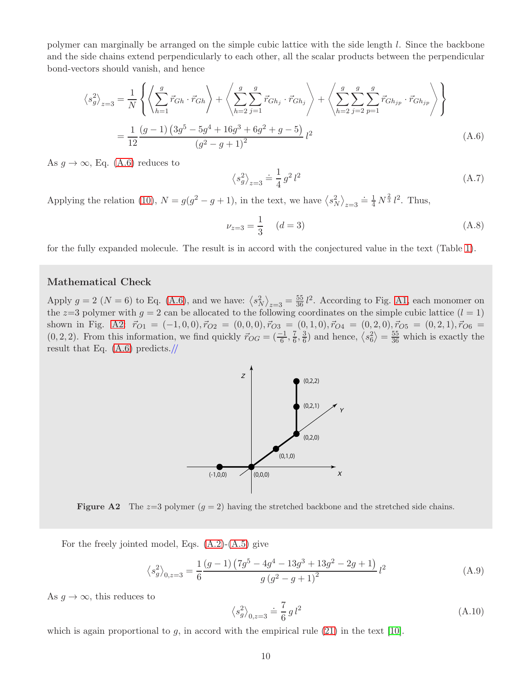polymer can marginally be arranged on the simple cubic lattice with the side length l. Since the backbone and the side chains extend perpendicularly to each other, all the scalar products between the perpendicular bond-vectors should vanish, and hence

$$
\langle s_g^2 \rangle_{z=3} = \frac{1}{N} \left\{ \left\langle \sum_{h=1}^g \vec{r}_{Gh} \cdot \vec{r}_{Gh} \right\rangle + \left\langle \sum_{h=2}^g \sum_{j=1}^g \vec{r}_{Gh_j} \cdot \vec{r}_{Gh_j} \right\rangle + \left\langle \sum_{h=2}^g \sum_{j=2}^g \sum_{p=1}^g \vec{r}_{Gh_{jp}} \cdot \vec{r}_{Gh_{jp}} \right\rangle \right\}
$$
  
= 
$$
\frac{1}{12} \frac{(g-1)\left(3g^5 - 5g^4 + 16g^3 + 6g^2 + g - 5\right)}{(g^2 - g + 1)^2} l^2
$$
(A.6)

As  $g \to \infty$ , Eq. [\(A.6\)](#page-9-0) reduces to

<span id="page-9-0"></span>
$$
\left\langle s_g^2 \right\rangle_{z=3} \doteq \frac{1}{4} \, g^2 \, l^2 \tag{A.7}
$$

Applying the relation [\(10\)](#page-2-2),  $N = g(g^2 - g + 1)$ , in the text, we have  $\langle s_N^2 \rangle_{z=3} \doteq \frac{1}{4} N^{\frac{2}{3}} l^2$ . Thus,

$$
\nu_{z=3} = \frac{1}{3} \quad (d=3) \tag{A.8}
$$

for the fully expanded molecule. The result is in accord with the conjectured value in the text (Table [1\)](#page-4-1).

#### Mathematical Check

<span id="page-9-1"></span>Apply  $g = 2 (N = 6)$  to Eq. [\(A.6\)](#page-9-0), and we have:  $\langle s_N^2 \rangle_{z=3} = \frac{55}{36} l^2$ . According to Fig. [A1,](#page-7-2) each monomer on the z=3 polymer with  $g = 2$  can be allocated to the following coordinates on the simple cubic lattice  $(l = 1)$ shown in Fig. [A2:](#page-9-1)  $\vec{r}_{O1} = (-1, 0, 0), \vec{r}_{O2} = (0, 0, 0), \vec{r}_{O3} = (0, 1, 0), \vec{r}_{O4} = (0, 2, 0), \vec{r}_{O5} = (0, 2, 1), \vec{r}_{O6} =$  $(0, 2, 2)$ . From this information, we find quickly  $\vec{r}_{OG} = \left(\frac{-1}{6}, \frac{7}{6}\right)$  $\frac{7}{6}, \frac{3}{6}$  $\frac{3}{6}$ ) and hence,  $\langle s_6^2 \rangle = \frac{55}{36}$  which is exactly the result that Eq. [\(A.6\)](#page-9-0) predicts.//





For the freely jointed model, Eqs.  $(A.2)-(A.5)$  $(A.2)-(A.5)$  give

$$
\left\langle s_g^2 \right\rangle_{0,z=3} = \frac{1}{6} \frac{\left(g-1\right) \left(7g^5 - 4g^4 - 13g^3 + 13g^2 - 2g + 1\right)}{g \left(g^2 - g + 1\right)^2} l^2 \tag{A.9}
$$

As  $g \to \infty$ , this reduces to

$$
\left\langle s_g^2 \right\rangle_{0,z=3} = \frac{7}{6} \, g \, l^2 \tag{A.10}
$$

which is again proportional to  $g$ , in accord with the empirical rule [\(21\)](#page-6-1) in the text [\[10\]](#page-10-0).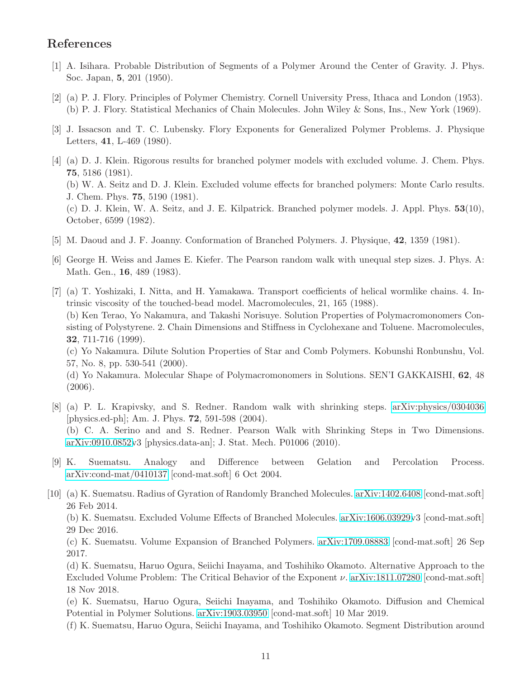### <span id="page-10-2"></span>References

- <span id="page-10-5"></span>[1] A. Isihara. Probable Distribution of Segments of a Polymer Around the Center of Gravity. J. Phys. Soc. Japan, 5, 201 (1950).
- <span id="page-10-6"></span>[2] (a) P. J. Flory. Principles of Polymer Chemistry. Cornell University Press, Ithaca and London (1953). (b) P. J. Flory. Statistical Mechanics of Chain Molecules. John Wiley & Sons, Ins., New York (1969).
- <span id="page-10-8"></span>[3] J. Issacson and T. C. Lubensky. Flory Exponents for Generalized Polymer Problems. J. Physique Letters, 41, L-469 (1980).
- [4] (a) D. J. Klein. Rigorous results for branched polymer models with excluded volume. J. Chem. Phys. 75, 5186 (1981). (b) W. A. Seitz and D. J. Klein. Excluded volume effects for branched polymers: Monte Carlo results. J. Chem. Phys. 75, 5190 (1981). (c) D. J. Klein, W. A. Seitz, and J. E. Kilpatrick. Branched polymer models. J. Appl. Phys. 53(10), October, 6599 (1982).
- <span id="page-10-7"></span><span id="page-10-3"></span>[5] M. Daoud and J. F. Joanny. Conformation of Branched Polymers. J. Physique, 42, 1359 (1981).
- <span id="page-10-1"></span>[6] George H. Weiss and James E. Kiefer. The Pearson random walk with unequal step sizes. J. Phys. A: Math. Gen., 16, 489 (1983).
- [7] (a) T. Yoshizaki, I. Nitta, and H. Yamakawa. Transport coefficients of helical wormlike chains. 4. Intrinsic viscosity of the touched-bead model. Macromolecules, 21, 165 (1988). (b) Ken Terao, Yo Nakamura, and Takashi Norisuye. Solution Properties of Polymacromonomers Consisting of Polystyrene. 2. Chain Dimensions and Stiffness in Cyclohexane and Toluene. Macromolecules, 32, 711-716 (1999).

(c) Yo Nakamura. Dilute Solution Properties of Star and Comb Polymers. Kobunshi Ronbunshu, Vol. 57, No. 8, pp. 530-541 (2000).

(d) Yo Nakamura. Molecular Shape of Polymacromonomers in Solutions. SEN'I GAKKAISHI, 62, 48 (2006).

- <span id="page-10-4"></span>[8] (a) P. L. Krapivsky, and S. Redner. Random walk with shrinking steps. [arXiv:physics/0304036](http://arxiv.org/abs/physics/0304036) [physics.ed-ph]; Am. J. Phys. 72, 591-598 (2004). (b) C. A. Serino and and S. Redner. Pearson Walk with Shrinking Steps in Two Dimensions. [arXiv:0910.0852v](http://arxiv.org/abs/0910.0852)3 [physics.data-an]; J. Stat. Mech. P01006 (2010).
- <span id="page-10-9"></span>[9] K. Suematsu. Analogy and Difference between Gelation and Percolation Process. [arXiv:cond-mat/0410137](http://arxiv.org/abs/cond-mat/0410137) [cond-mat.soft] 6 Oct 2004.
- <span id="page-10-0"></span>[10] (a) K. Suematsu. Radius of Gyration of Randomly Branched Molecules. [arXiv:1402.6408](http://arxiv.org/abs/1402.6408) [cond-mat.soft] 26 Feb 2014.

(b) K. Suematsu. Excluded Volume Effects of Branched Molecules. [arXiv:1606.03929v](http://arxiv.org/abs/1606.03929)3 [cond-mat.soft] 29 Dec 2016.

(c) K. Suematsu. Volume Expansion of Branched Polymers. [arXiv:1709.08883](http://arxiv.org/abs/1709.08883) [cond-mat.soft] 26 Sep 2017.

(d) K. Suematsu, Haruo Ogura, Seiichi Inayama, and Toshihiko Okamoto. Alternative Approach to the Excluded Volume Problem: The Critical Behavior of the Exponent ν. [arXiv:1811.07280](http://arxiv.org/abs/1811.07280) [cond-mat.soft] 18 Nov 2018.

(e) K. Suematsu, Haruo Ogura, Seiichi Inayama, and Toshihiko Okamoto. Diffusion and Chemical Potential in Polymer Solutions. [arXiv:1903.03950](http://arxiv.org/abs/1903.03950) [cond-mat.soft] 10 Mar 2019.

(f) K. Suematsu, Haruo Ogura, Seiichi Inayama, and Toshihiko Okamoto. Segment Distribution around